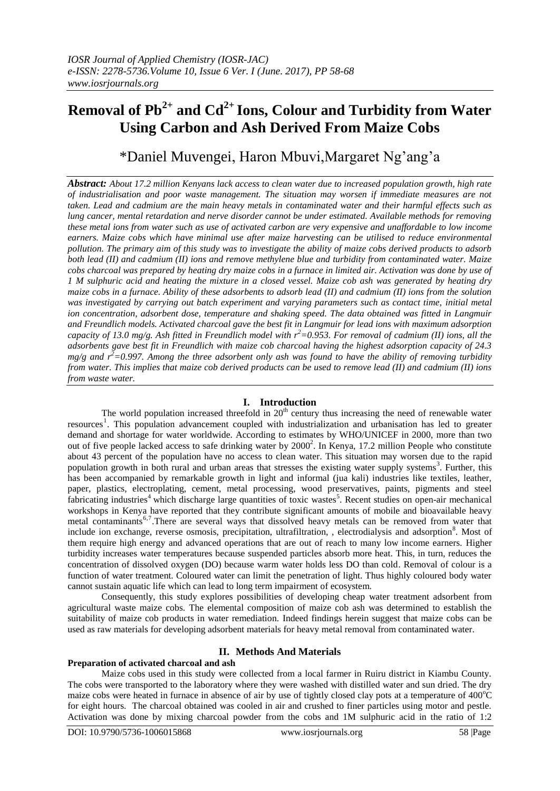# **Removal of Pb2+ and Cd2+ Ions, Colour and Turbidity from Water Using Carbon and Ash Derived From Maize Cobs**

\*Daniel Muvengei, Haron Mbuvi,Margaret Ng'ang'a

*Abstract: About 17.2 million Kenyans lack access to clean water due to increased population growth, high rate of industrialisation and poor waste management. The situation may worsen if immediate measures are not taken. Lead and cadmium are the main heavy metals in contaminated water and their harmful effects such as lung cancer, mental retardation and nerve disorder cannot be under estimated. Available methods for removing these metal ions from water such as use of activated carbon are very expensive and unaffordable to low income earners. Maize cobs which have minimal use after maize harvesting can be utilised to reduce environmental pollution. The primary aim of this study was to investigate the ability of maize cobs derived products to adsorb both lead (II) and cadmium (II) ions and remove methylene blue and turbidity from contaminated water. Maize cobs charcoal was prepared by heating dry maize cobs in a furnace in limited air. Activation was done by use of 1 M sulphuric acid and heating the mixture in a closed vessel. Maize cob ash was generated by heating dry maize cobs in a furnace. Ability of these adsorbents to adsorb lead (II) and cadmium (II) ions from the solution was investigated by carrying out batch experiment and varying parameters such as contact time, initial metal ion concentration, adsorbent dose, temperature and shaking speed. The data obtained was fitted in Langmuir and Freundlich models. Activated charcoal gave the best fit in Langmuir for lead ions with maximum adsorption capacity of 13.0 mg/g. Ash fitted in Freundlich model with r<sup>2</sup>=0.953. For removal of cadmium (II) ions, all the adsorbents gave best fit in Freundlich with maize cob charcoal having the highest adsorption capacity of 24.3 mg/g and*  $r^2$ =0.997. Among the three adsorbent only ash was found to have the ability of removing turbidity *from water. This implies that maize cob derived products can be used to remove lead (II) and cadmium (II) ions from waste water.*

# **I. Introduction**

The world population increased threefold in  $20<sup>th</sup>$  century thus increasing the need of renewable water resources<sup>1</sup>. This population advancement coupled with industrialization and urbanisation has led to greater demand and shortage for water worldwide. According to estimates by WHO/UNICEF in 2000, more than two out of five people lacked access to safe drinking water by 2000<sup>2</sup>. In Kenya, 17.2 million People who constitute about 43 percent of the population have no access to clean water. This situation may worsen due to the rapid population growth in both rural and urban areas that stresses the existing water supply systems<sup>3</sup>. Further, this has been accompanied by remarkable growth in light and informal (jua kali) industries like textiles, leather, paper, plastics, electroplating, cement, metal processing, wood preservatives, paints, pigments and steel fabricating industries<sup>4</sup> which discharge large quantities of toxic wastes<sup>5</sup>. Recent studies on open-air mechanical workshops in Kenya have reported that they contribute significant amounts of mobile and bioavailable heavy metal contaminants<sup>6,7</sup>. There are several ways that dissolved heavy metals can be removed from water that include ion exchange, reverse osmosis, precipitation, ultrafiltration, , electrodialysis and adsorption<sup>8</sup>. Most of them require high energy and advanced operations that are out of reach to many low income earners. Higher turbidity increases water temperatures because suspended particles absorb more heat. This, in turn, reduces the concentration of dissolved oxygen (DO) because warm water holds less DO than cold. Removal of colour is a function of water treatment. Coloured water can limit the penetration of light. Thus highly coloured body water cannot sustain aquatic life which can lead to long term impairment of ecosystem.

Consequently, this study explores possibilities of developing cheap water treatment adsorbent from agricultural waste maize cobs. The elemental composition of maize cob ash was determined to establish the suitability of maize cob products in water remediation. Indeed findings herein suggest that maize cobs can be used as raw materials for developing adsorbent materials for heavy metal removal from contaminated water.

# **II. Methods And Materials**

## **Preparation of activated charcoal and ash**

Maize cobs used in this study were collected from a local farmer in Ruiru district in Kiambu County. The cobs were transported to the laboratory where they were washed with distilled water and sun dried. The dry maize cobs were heated in furnace in absence of air by use of tightly closed clay pots at a temperature of  $400^{\circ}$ C for eight hours. The charcoal obtained was cooled in air and crushed to finer particles using motor and pestle. Activation was done by mixing charcoal powder from the cobs and 1M sulphuric acid in the ratio of 1:2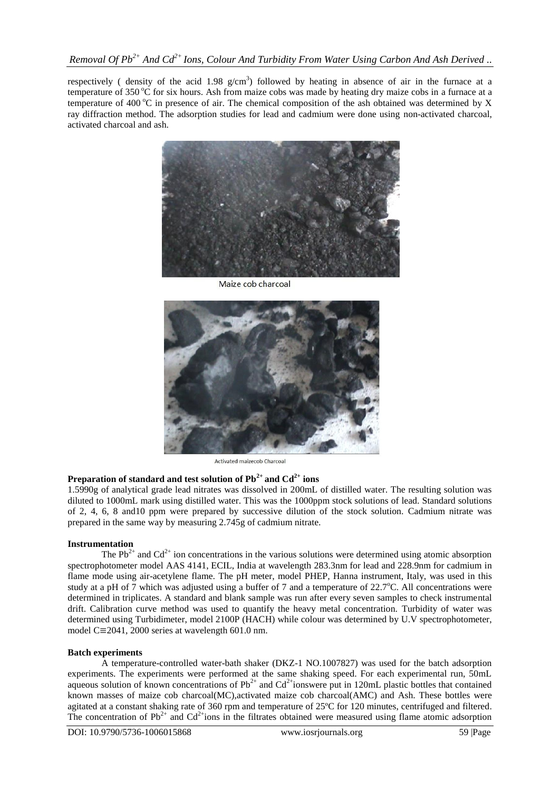respectively (density of the acid 1.98  $g/cm<sup>3</sup>$ ) followed by heating in absence of air in the furnace at a temperature of  $350^{\circ}$ C for six hours. Ash from maize cobs was made by heating dry maize cobs in a furnace at a temperature of 400  $^{\circ}$ C in presence of air. The chemical composition of the ash obtained was determined by X ray diffraction method. The adsorption studies for lead and cadmium were done using non-activated charcoal, activated charcoal and ash.



Maize cob charcoal



Activated maizecob Charcoal

# **Preparation of standard and test solution of Pb2+ and Cd2+ ions**

1.5990g of analytical grade lead nitrates was dissolved in 200mL of distilled water. The resulting solution was diluted to 1000mL mark using distilled water. This was the 1000ppm stock solutions of lead. Standard solutions of 2, 4, 6, 8 and10 ppm were prepared by successive dilution of the stock solution. Cadmium nitrate was prepared in the same way by measuring 2.745g of cadmium nitrate.

## **Instrumentation**

The  $Pb^{2+}$  and Cd<sup>2+</sup> ion concentrations in the various solutions were determined using atomic absorption spectrophotometer model AAS 4141, ECIL, India at wavelength 283.3nm for lead and 228.9nm for cadmium in flame mode using air-acetylene flame. The pH meter, model PHEP, Hanna instrument, Italy, was used in this study at a pH of 7 which was adjusted using a buffer of 7 and a temperature of 22.7<sup>o</sup>C. All concentrations were determined in triplicates. A standard and blank sample was run after every seven samples to check instrumental drift. Calibration curve method was used to quantify the heavy metal concentration. Turbidity of water was determined using Turbidimeter, model 2100P (HACH) while colour was determined by U.V spectrophotometer, model C $\equiv$ 2041, 2000 series at wavelength 601.0 nm.

## **Batch experiments**

A temperature-controlled water-bath shaker (DKZ-1 NO.1007827) was used for the batch adsorption experiments. The experiments were performed at the same shaking speed. For each experimental run, 50mL aqueous solution of known concentrations of  $Pb^{2+}$  and  $Cd^{2+}$ ionswere put in 120mL plastic bottles that contained known masses of maize cob charcoal(MC),activated maize cob charcoal(AMC) and Ash. These bottles were agitated at a constant shaking rate of 360 rpm and temperature of 25ºC for 120 minutes, centrifuged and filtered. The concentration of  $Pb^{2+}$  and  $Cd^{2+}$ ions in the filtrates obtained were measured using flame atomic adsorption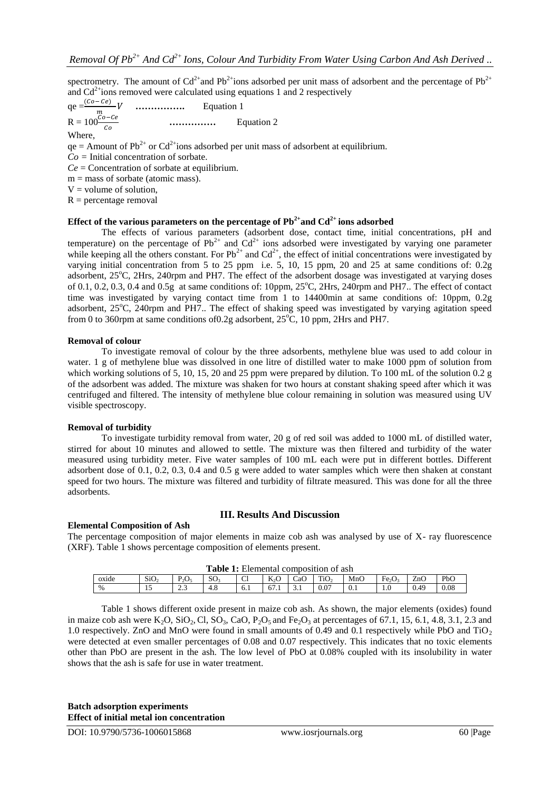spectrometry. The amount of  $Cd^{2+}$ and Pb<sup>2+</sup>ions adsorbed per unit mass of adsorbent and the percentage of Pb<sup>2+</sup> and  $Cd<sup>2+</sup>ions removed were calculated using equations 1 and 2 respectively$ 

qe 
$$
=\frac{(Co - Ce)}{m}V
$$
 \n... \nEquation 1  
\nR =  $100\frac{Co - Ce}{co}$  \n... \nEquation 2  
\nWhere,

 $qe =$  Amount of Pb<sup>2+</sup> or Cd<sup>2+</sup>ions adsorbed per unit mass of adsorbent at equilibrium.

*Co =* Initial concentration of sorbate*.*

*Ce* = Concentration of sorbate at equilibrium.

 $m =$  mass of sorbate (atomic mass).

 $V =$  volume of solution,

 $R =$  percentage removal

## **Effect of the various parameters on the percentage of**  $Pb^{2+}$  **and**  $Cd^{2+}$  **ions adsorbed**

The effects of various parameters (adsorbent dose, contact time, initial concentrations, pH and temperature) on the percentage of  $Pb^{2+}$  and  $Cd^{2+}$  ions adsorbed were investigated by varying one parameter while keeping all the others constant. For  $Pb^{2+}$  and  $Cd^{2+}$ , the effect of initial concentrations were investigated by varying initial concentration from 5 to 25 ppm i.e. 5, 10, 15 ppm, 20 and 25 at same conditions of: 0.2g adsorbent, 25°C, 2Hrs, 240rpm and PH7. The effect of the adsorbent dosage was investigated at varying doses of 0.1, 0.2, 0.3, 0.4 and 0.5g at same conditions of: 10ppm,  $25^{\circ}$ C,  $2Hrs$ ,  $240$ rpm and PH7.. The effect of contact time was investigated by varying contact time from 1 to 14400min at same conditions of: 10ppm, 0.2g adsorbent, 25<sup>o</sup>C, 240rpm and PH7.. The effect of shaking speed was investigated by varying agitation speed from 0 to 360rpm at same conditions of 0.2g adsorbent,  $25^{\circ}$ C, 10 ppm, 2Hrs and PH7.

#### **Removal of colour**

To investigate removal of colour by the three adsorbents, methylene blue was used to add colour in water. 1 g of methylene blue was dissolved in one litre of distilled water to make 1000 ppm of solution from which working solutions of 5, 10, 15, 20 and 25 ppm were prepared by dilution. To 100 mL of the solution 0.2 g of the adsorbent was added. The mixture was shaken for two hours at constant shaking speed after which it was centrifuged and filtered. The intensity of methylene blue colour remaining in solution was measured using UV visible spectroscopy.

#### **Removal of turbidity**

To investigate turbidity removal from water, 20 g of red soil was added to 1000 mL of distilled water, stirred for about 10 minutes and allowed to settle. The mixture was then filtered and turbidity of the water measured using turbidity meter. Five water samples of 100 mL each were put in different bottles. Different adsorbent dose of 0.1, 0.2, 0.3, 0.4 and 0.5 g were added to water samples which were then shaken at constant speed for two hours. The mixture was filtered and turbidity of filtrate measured. This was done for all the three adsorbents.

## **Elemental Composition of Ash**

#### **III. Results And Discussion**

The percentage composition of major elements in maize cob ash was analysed by use of X- ray fluorescence (XRF). Table 1 shows percentage composition of elements present.

| <b>Table 1:</b> Elemental composition of ash |                  |                |                |     |                     |             |                  |     |                                |      |      |
|----------------------------------------------|------------------|----------------|----------------|-----|---------------------|-------------|------------------|-----|--------------------------------|------|------|
| oxide                                        | SiO <sub>2</sub> | $P_2O_5$       | $\sim$<br>- SU | Cl  | T.<br>K2U           | CaO         | TiO <sub>2</sub> | MnO | Fe <sub>2</sub> O <sub>3</sub> | ZnC  | PbO  |
| $\%$                                         | …                | $\sim$<br>د. ک | 4.8            | 0.1 | $\epsilon$<br>0/1.1 | $\sim$<br>. | 0.07             | 0.1 | 1.0                            | 0.49 | 0.08 |

Table 1 shows different oxide present in maize cob ash. As shown, the major elements (oxides) found in maize cob ash were K<sub>2</sub>O, SiO<sub>2</sub>, Cl, SO<sub>3</sub>, CaO, P<sub>2</sub>O<sub>5</sub> and Fe<sub>2</sub>O<sub>3</sub> at percentages of 67.1, 15, 6.1, 4.8, 3.1, 2.3 and 1.0 respectively. ZnO and MnO were found in small amounts of 0.49 and 0.1 respectively while PbO and TiO<sup>2</sup> were detected at even smaller percentages of 0.08 and 0.07 respectively. This indicates that no toxic elements other than PbO are present in the ash. The low level of PbO at 0.08% coupled with its insolubility in water shows that the ash is safe for use in water treatment.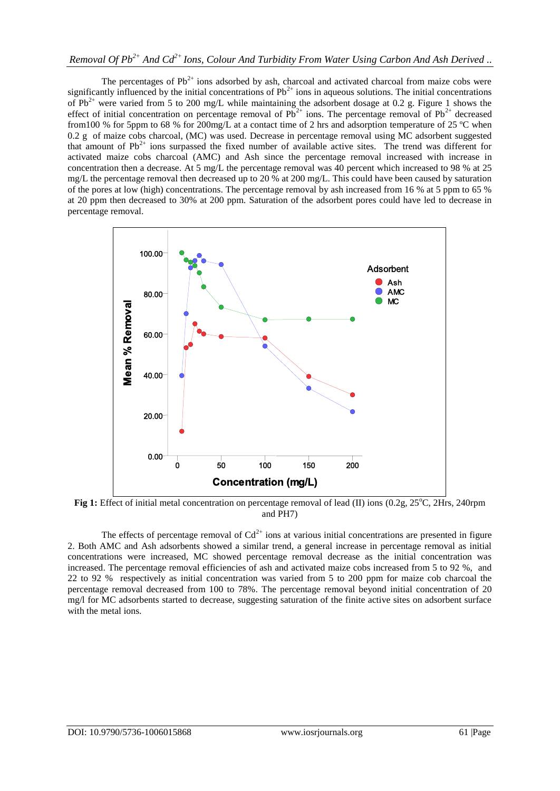The percentages of  $Pb^{2+}$  ions adsorbed by ash, charcoal and activated charcoal from maize cobs were significantly influenced by the initial concentrations of  $Pb^{2+}$  ions in aqueous solutions. The initial concentrations of Pb<sup>2+</sup> were varied from 5 to 200 mg/L while maintaining the adsorbent dosage at 0.2 g. Figure 1 shows the effect of initial concentration on percentage removal of  $Pb^{2+}$  ions. The percentage removal of  $Pb^{2+}$  decreased from100 % for 5ppm to 68 % for 200mg/L at a contact time of 2 hrs and adsorption temperature of 25 ºC when 0.2 g of maize cobs charcoal, (MC) was used. Decrease in percentage removal using MC adsorbent suggested that amount of  $Pb^{2+}$  ions surpassed the fixed number of available active sites. The trend was different for activated maize cobs charcoal (AMC) and Ash since the percentage removal increased with increase in concentration then a decrease. At 5 mg/L the percentage removal was 40 percent which increased to 98 % at 25 mg/L the percentage removal then decreased up to 20 % at 200 mg/L. This could have been caused by saturation of the pores at low (high) concentrations. The percentage removal by ash increased from 16 % at 5 ppm to 65 % at 20 ppm then decreased to 30% at 200 ppm. Saturation of the adsorbent pores could have led to decrease in percentage removal.



**Fig 1:** Effect of initial metal concentration on percentage removal of lead (II) ions (0.2g, 25<sup>o</sup>C, 2Hrs, 240rpm and PH7)

The effects of percentage removal of  $Cd^{2+}$  ions at various initial concentrations are presented in figure 2. Both AMC and Ash adsorbents showed a similar trend, a general increase in percentage removal as initial concentrations were increased, MC showed percentage removal decrease as the initial concentration was increased. The percentage removal efficiencies of ash and activated maize cobs increased from 5 to 92 %, and 22 to 92 % respectively as initial concentration was varied from 5 to 200 ppm for maize cob charcoal the percentage removal decreased from 100 to 78%. The percentage removal beyond initial concentration of 20 mg/l for MC adsorbents started to decrease, suggesting saturation of the finite active sites on adsorbent surface with the metal ions.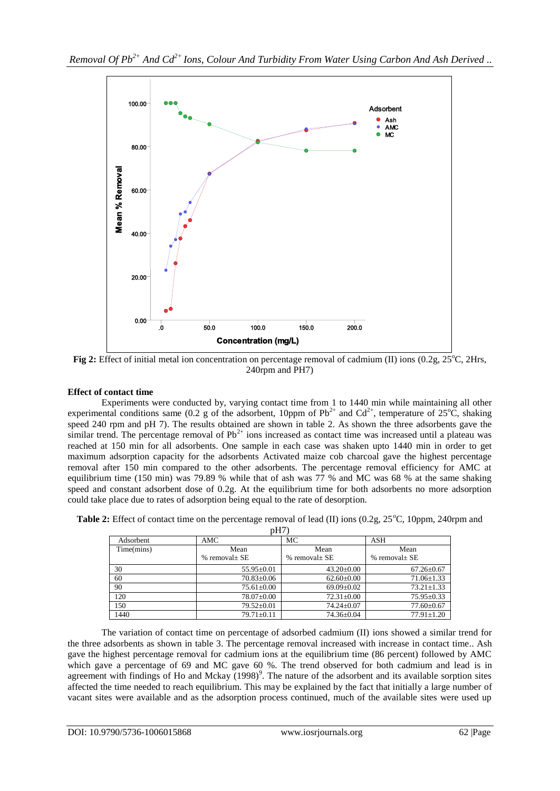

**Fig 2:** Effect of initial metal ion concentration on percentage removal of cadmium (II) ions (0.2g, 25<sup>o</sup>C, 2Hrs, 240rpm and PH7)

# **Effect of contact time**

Experiments were conducted by, varying contact time from 1 to 1440 min while maintaining all other experimental conditions same (0.2 g of the adsorbent, 10ppm of  $Pb^{2+}$  and  $Cd^{2+}$ , temperature of 25<sup>o</sup>C, shaking speed 240 rpm and pH 7). The results obtained are shown in table 2. As shown the three adsorbents gave the similar trend. The percentage removal of  $Pb^{2+}$  ions increased as contact time was increased until a plateau was reached at 150 min for all adsorbents. One sample in each case was shaken upto 1440 min in order to get maximum adsorption capacity for the adsorbents Activated maize cob charcoal gave the highest percentage removal after 150 min compared to the other adsorbents. The percentage removal efficiency for AMC at equilibrium time (150 min) was 79.89 % while that of ash was 77 % and MC was 68 % at the same shaking speed and constant adsorbent dose of 0.2g. At the equilibrium time for both adsorbents no more adsorption could take place due to rates of adsorption being equal to the rate of desorption.

| pH7        |                            |                       |                          |  |  |  |  |  |
|------------|----------------------------|-----------------------|--------------------------|--|--|--|--|--|
| Adsorbent  | AMC                        | МC                    | ASH                      |  |  |  |  |  |
| Time(mins) | Mean<br>$%$ removal $+$ SE | Mean<br>% removal+ SE | Mean<br>$%$ removal + SE |  |  |  |  |  |
| 30         | $55.95 \pm 0.01$           | $43.20+0.00$          | $67.26 \pm 0.67$         |  |  |  |  |  |
| 60         | $70.83 \pm 0.06$           | $62.60 \pm 0.00$      | $71.06 \pm 1.33$         |  |  |  |  |  |
| 90         | $75.61 \pm 0.00$           | $69.09 \pm 0.02$      | $73.21 \pm 1.33$         |  |  |  |  |  |
| 120        | $78.07 \pm 0.00$           | $72.31 \pm 0.00$      | $75.95 \pm 0.33$         |  |  |  |  |  |
| 150        | $79.52 \pm 0.01$           | $74.24 \pm 0.07$      | $77.60 \pm 0.67$         |  |  |  |  |  |
| 1440       | $79.71 \pm 0.11$           | $74.36 \pm 0.04$      | $77.91 \pm 1.20$         |  |  |  |  |  |

| <b>Table 2:</b> Effect of contact time on the percentage removal of lead (II) ions $(0.2g, 25^{\circ}C, 10ppm, 240rpm$ and |  |  |  |
|----------------------------------------------------------------------------------------------------------------------------|--|--|--|
|----------------------------------------------------------------------------------------------------------------------------|--|--|--|

The variation of contact time on percentage of adsorbed cadmium (II) ions showed a similar trend for the three adsorbents as shown in table 3. The percentage removal increased with increase in contact time.. Ash gave the highest percentage removal for cadmium ions at the equilibrium time (86 percent) followed by AMC which gave a percentage of 69 and MC gave 60 %. The trend observed for both cadmium and lead is in agreement with findings of Ho and Mckay  $(1998)^9$ . The nature of the adsorbent and its available sorption sites affected the time needed to reach equilibrium. This may be explained by the fact that initially a large number of vacant sites were available and as the adsorption process continued, much of the available sites were used up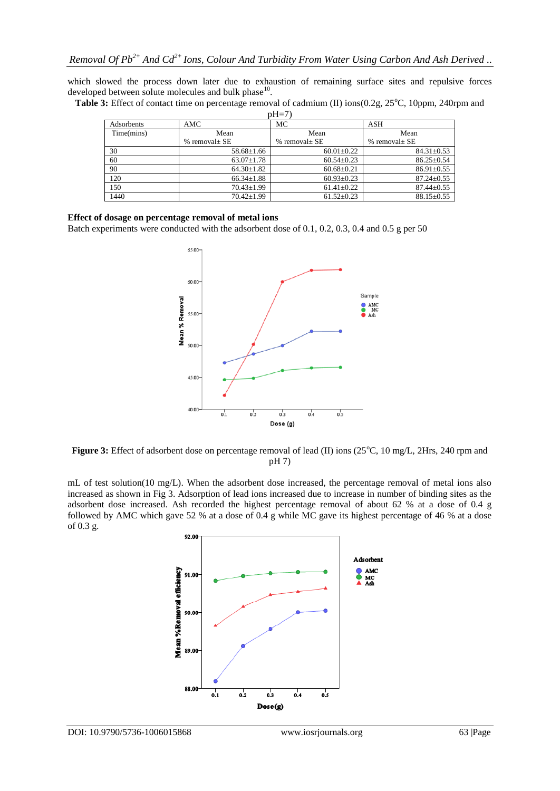which slowed the process down later due to exhaustion of remaining surface sites and repulsive forces developed between solute molecules and bulk phase $^{10}$ .

| Table 3: Effect of contact time on percentage removal of cadmium (II) ions(0.2g, 25°C, 10ppm, 240rpm and |  |  |
|----------------------------------------------------------------------------------------------------------|--|--|

| $pH=7$     |                    |                    |                    |  |  |  |  |  |
|------------|--------------------|--------------------|--------------------|--|--|--|--|--|
| Adsorbents | AMC                | МC                 | ASH                |  |  |  |  |  |
| Time(mins) | Mean               | Mean               | Mean               |  |  |  |  |  |
|            | % removal $\pm$ SE | % removal $\pm$ SE | % removal $\pm$ SE |  |  |  |  |  |
| 30         | $58.68 \pm 1.66$   | $60.01 \pm 0.22$   | $84.31 \pm 0.53$   |  |  |  |  |  |
| 60         | $63.07 \pm 1.78$   | $60.54 \pm 0.23$   | $86.25 \pm 0.54$   |  |  |  |  |  |
| 90         | $64.30 \pm 1.82$   | $60.68 \pm 0.21$   | $86.91 \pm 0.55$   |  |  |  |  |  |
| 120        | $66.34 \pm 1.88$   | $60.93 \pm 0.23$   | $87.24 \pm 0.55$   |  |  |  |  |  |
| 150        | $70.43 \pm 1.99$   | $61.41 \pm 0.22$   | $87.44 \pm 0.55$   |  |  |  |  |  |
| 1440       | $70.42 \pm 1.99$   | $61.52 \pm 0.23$   | $88.15 \pm 0.55$   |  |  |  |  |  |

#### **Effect of dosage on percentage removal of metal ions**

Batch experiments were conducted with the adsorbent dose of 0.1, 0.2, 0.3, 0.4 and 0.5 g per 50



**Figure 3:** Effect of adsorbent dose on percentage removal of lead (II) ions (25<sup>o</sup>C, 10 mg/L, 2Hrs, 240 rpm and pH 7)

mL of test solution(10 mg/L). When the adsorbent dose increased, the percentage removal of metal ions also increased as shown in Fig 3. Adsorption of lead ions increased due to increase in number of binding sites as the adsorbent dose increased. Ash recorded the highest percentage removal of about 62 % at a dose of 0.4 g followed by AMC which gave 52 % at a dose of 0.4 g while MC gave its highest percentage of 46 % at a dose of 0.3 g.

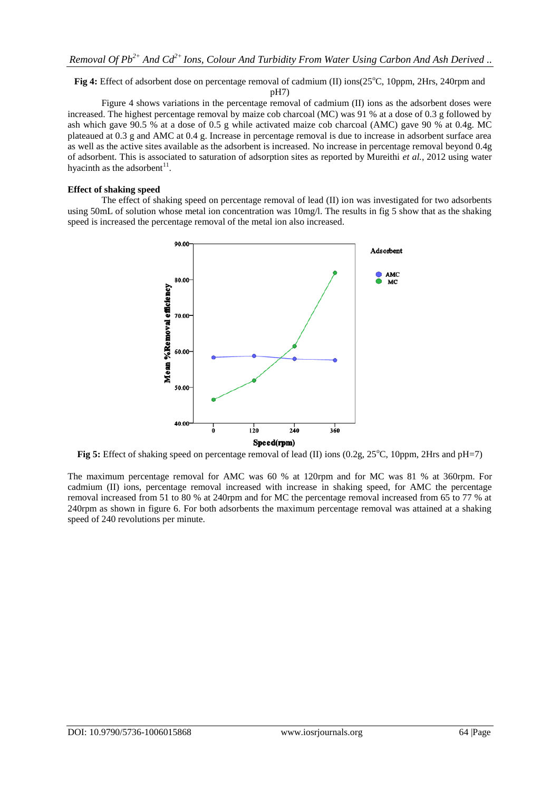# **Fig 4:** Effect of adsorbent dose on percentage removal of cadmium (II) ions(25<sup>o</sup>C, 10ppm, 2Hrs, 240rpm and

pH7)

Figure 4 shows variations in the percentage removal of cadmium (II) ions as the adsorbent doses were increased. The highest percentage removal by maize cob charcoal (MC) was 91 % at a dose of 0.3 g followed by ash which gave 90.5 % at a dose of 0.5 g while activated maize cob charcoal (AMC) gave 90 % at 0.4g. MC plateaued at 0.3 g and AMC at 0.4 g. Increase in percentage removal is due to increase in adsorbent surface area as well as the active sites available as the adsorbent is increased. No increase in percentage removal beyond 0.4g of adsorbent. This is associated to saturation of adsorption sites as reported by Mureithi *et al.*, 2012 using water hyacinth as the adsorbent $11$ .

## **Effect of shaking speed**

The effect of shaking speed on percentage removal of lead (II) ion was investigated for two adsorbents using 50mL of solution whose metal ion concentration was 10mg/l. The results in fig 5 show that as the shaking speed is increased the percentage removal of the metal ion also increased.



**Fig 5:** Effect of shaking speed on percentage removal of lead (II) ions (0.2g, 25<sup>o</sup>C, 10ppm, 2Hrs and pH=7)

The maximum percentage removal for AMC was 60 % at 120rpm and for MC was 81 % at 360rpm. For cadmium (II) ions, percentage removal increased with increase in shaking speed, for AMC the percentage removal increased from 51 to 80 % at 240rpm and for MC the percentage removal increased from 65 to 77 % at 240rpm as shown in figure 6. For both adsorbents the maximum percentage removal was attained at a shaking speed of 240 revolutions per minute.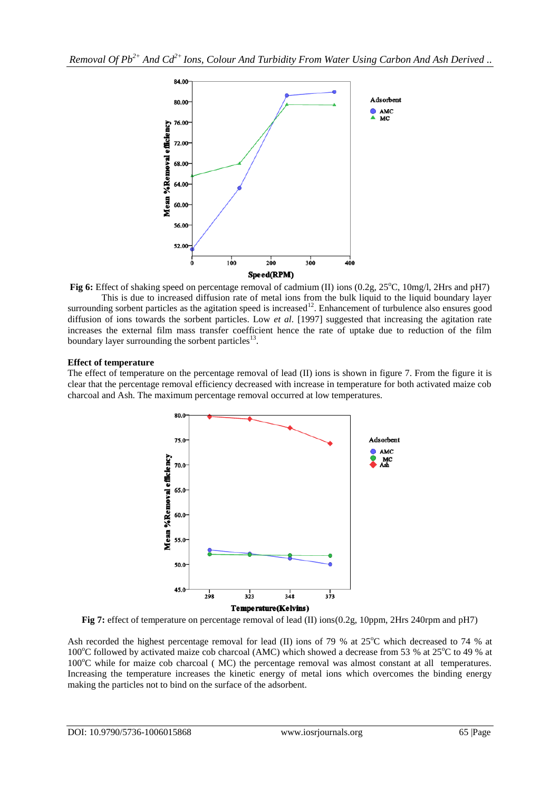

**Fig 6:** Effect of shaking speed on percentage removal of cadmium (II) ions (0.2g, 25°C, 10mg/l, 2Hrs and pH7) This is due to increased diffusion rate of metal ions from the bulk liquid to the liquid boundary layer surrounding sorbent particles as the agitation speed is increased<sup>12</sup>. Enhancement of turbulence also ensures good diffusion of ions towards the sorbent particles. Low *et al*. [1997] suggested that increasing the agitation rate increases the external film mass transfer coefficient hence the rate of uptake due to reduction of the film boundary layer surrounding the sorbent particles $^{13}$ .

# **Effect of temperature**

The effect of temperature on the percentage removal of lead (II) ions is shown in figure 7. From the figure it is clear that the percentage removal efficiency decreased with increase in temperature for both activated maize cob charcoal and Ash. The maximum percentage removal occurred at low temperatures.



**Fig 7:** effect of temperature on percentage removal of lead (II) ions(0.2g, 10ppm, 2Hrs 240rpm and pH7)

Ash recorded the highest percentage removal for lead (II) ions of 79 % at  $25^{\circ}$ C which decreased to 74 % at 100°C followed by activated maize cob charcoal (AMC) which showed a decrease from 53 % at 25°C to 49 % at  $100^{\circ}$ C while for maize cob charcoal ( MC) the percentage removal was almost constant at all temperatures. Increasing the temperature increases the kinetic energy of metal ions which overcomes the binding energy making the particles not to bind on the surface of the adsorbent.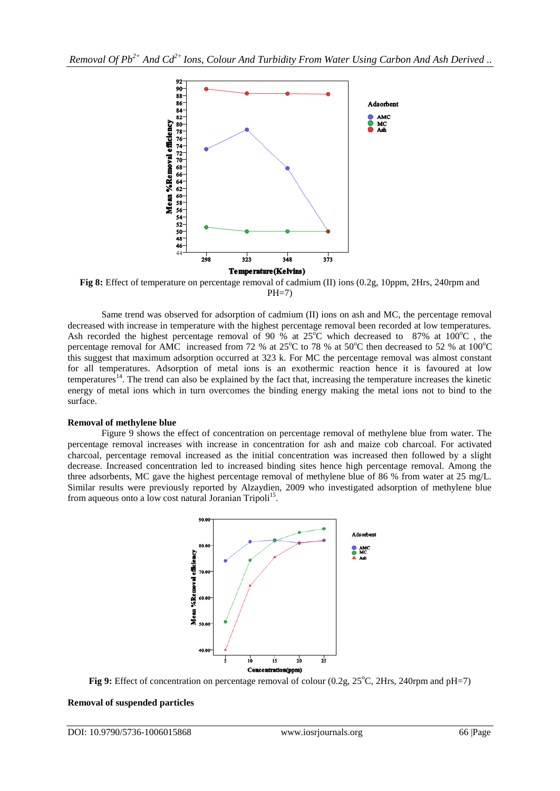

**Fig 8:** Effect of temperature on percentage removal of cadmium (II) ions (0.2g, 10ppm, 2Hrs, 240rpm and  $PH=7$ 

Same trend was observed for adsorption of cadmium (II) ions on ash and MC, the percentage removal decreased with increase in temperature with the highest percentage removal been recorded at low temperatures. Ash recorded the highest percentage removal of 90 % at  $25^{\circ}$ C which decreased to 87% at 100 $^{\circ}$ C, the percentage removal for AMC increased from 72 % at  $25^{\circ}$ C to 78 % at  $50^{\circ}$ C then decreased to 52 % at  $100^{\circ}$ C this suggest that maximum adsorption occurred at 323 k. For MC the percentage removal was almost constant for all temperatures. Adsorption of metal ions is an exothermic reaction hence it is favoured at low temperatures<sup>14</sup>. The trend can also be explained by the fact that, increasing the temperature increases the kinetic energy of metal ions which in turn overcomes the binding energy making the metal ions not to bind to the surface.

## **Removal of methylene blue**

Figure 9 shows the effect of concentration on percentage removal of methylene blue from water. The percentage removal increases with increase in concentration for ash and maize cob charcoal. For activated charcoal, percentage removal increased as the initial concentration was increased then followed by a slight decrease. Increased concentration led to increased binding sites hence high percentage removal. Among the three adsorbents, MC gave the highest percentage removal of methylene blue of 86 % from water at 25 mg/L. Similar results were previously reported by Alzaydien, 2009 who investigated adsorption of methylene blue from aqueous onto a low cost natural Joranian Tripoli<sup>15</sup>.



**Fig 9:** Effect of concentration on percentage removal of colour (0.2g, 25°C, 2Hrs, 240rpm and pH=7)

## **Removal of suspended particles**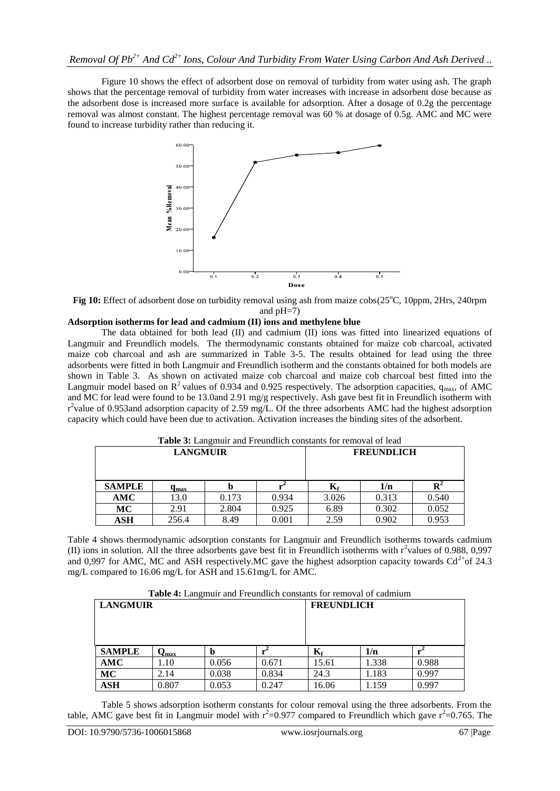Figure 10 shows the effect of adsorbent dose on removal of turbidity from water using ash. The graph shows that the percentage removal of turbidity from water increases with increase in adsorbent dose because as the adsorbent dose is increased more surface is available for adsorption. After a dosage of 0.2g the percentage removal was almost constant. The highest percentage removal was 60 % at dosage of 0.5g. AMC and MC were found to increase turbidity rather than reducing it.



**Fig 10:** Effect of adsorbent dose on turbidity removal using ash from maize cobs(25<sup>o</sup>C, 10ppm, 2Hrs, 240rpm and pH=7)

# **Adsorption isotherms for lead and cadmium (II) ions and methylene blue**

The data obtained for both lead (II) and cadmium (II) ions was fitted into linearized equations of Langmuir and Freundlich models. The thermodynamic constants obtained for maize cob charcoal, activated maize cob charcoal and ash are summarized in Table 3-5. The results obtained for lead using the three adsorbents were fitted in both Langmuir and Freundlich isotherm and the constants obtained for both models are shown in Table 3. As shown on activated maize cob charcoal and maize cob charcoal best fitted into the Langmuir model based on  $R^2$  values of 0.934 and 0.925 respectively. The adsorption capacities,  $q_{max}$ , of AMC and MC for lead were found to be 13.0and 2.91 mg/g respectively. Ash gave best fit in Freundlich isotherm with r<sup>2</sup>value of 0.953and adsorption capacity of 2.59 mg/L. Of the three adsorbents AMC had the highest adsorption capacity which could have been due to activation. Activation increases the binding sites of the adsorbent.

|                 | <b>Table 3:</b> Langmuir and Freundlich constants for removal of lead |       |       |                           |                   |                |  |  |  |
|-----------------|-----------------------------------------------------------------------|-------|-------|---------------------------|-------------------|----------------|--|--|--|
| <b>LANGMUIR</b> |                                                                       |       |       |                           | <b>FREUNDLICH</b> |                |  |  |  |
| <b>SAMPLE</b>   | $\mathbf{q}_{\max}$                                                   |       |       | $\mathbf{K}_{\mathbf{f}}$ | 1/n               | $\mathbf{R}^2$ |  |  |  |
| AMC             | 13.0                                                                  | 0.173 | 0.934 | 3.026                     | 0.313             | 0.540          |  |  |  |
| MC              | 2.91                                                                  | 2.804 | 0.925 | 6.89                      | 0.302             | 0.052          |  |  |  |
| ASH             | 256.4                                                                 | 8.49  | 0.001 | 2.59                      | 0.902             | 0.953          |  |  |  |

**Table 3:** Langmuir and Freundlich constants for removal of lead

Table 4 shows thermodynamic adsorption constants for Langmuir and Freundlich isotherms towards cadmium (II) ions in solution. All the three adsorbents gave best fit in Freundlich isotherms with  $r^2$ values of 0.988, 0,997 and 0,997 for AMC, MC and ASH respectively. MC gave the highest adsorption capacity towards  $Cd<sup>2+</sup>of 24.3$ mg/L compared to 16.06 mg/L for ASH and 15.61mg/L for AMC.

|  |  | Table 4: Langmuir and Freundlich constants for removal of cadmium |  |  |  |
|--|--|-------------------------------------------------------------------|--|--|--|
|  |  |                                                                   |  |  |  |

| <b>LANGMUIR</b> |       |       |       | <b>FREUNDLICH</b> |       |       |
|-----------------|-------|-------|-------|-------------------|-------|-------|
| <b>SAMPLE</b>   | ∨max  | b     |       | $K_{\rm f}$       | 1/n   |       |
| AMC             | 1.10  | 0.056 | 0.671 | 15.61             | 1.338 | 0.988 |
| MC              | 2.14  | 0.038 | 0.834 | 24.3              | 1.183 | 0.997 |
| ASH             | 0.807 | 0.053 | 0.247 | 16.06             | 1.159 | 0.997 |

Table 5 shows adsorption isotherm constants for colour removal using the three adsorbents. From the table, AMC gave best fit in Langmuir model with  $r^2=0.977$  compared to Freundlich which gave  $r^2=0.765$ . The